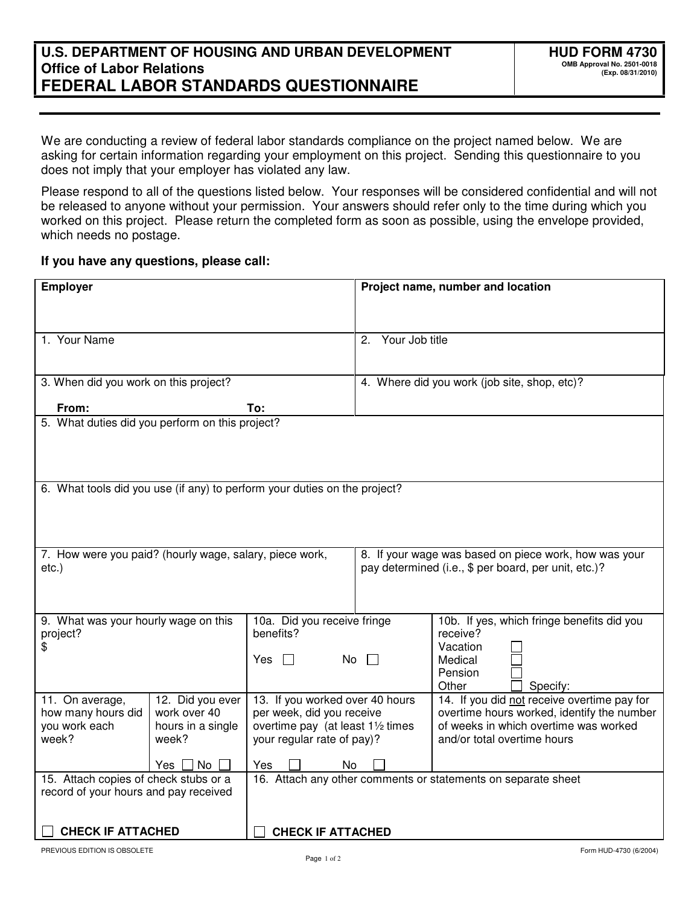We are conducting a review of federal labor standards compliance on the project named below. We are asking for certain information regarding your employment on this project. Sending this questionnaire to you does not imply that your employer has violated any law.

Please respond to all of the questions listed below. Your responses will be considered confidential and will not be released to anyone without your permission. Your answers should refer only to the time during which you worked on this project. Please return the completed form as soon as possible, using the envelope provided, which needs no postage.

## **If you have any questions, please call:**

| <b>Employer</b>                                                                |                                                              | Project name, number and location                                                                             |                                                                                           |  |
|--------------------------------------------------------------------------------|--------------------------------------------------------------|---------------------------------------------------------------------------------------------------------------|-------------------------------------------------------------------------------------------|--|
|                                                                                |                                                              |                                                                                                               |                                                                                           |  |
| 1. Your Name                                                                   |                                                              | 2.                                                                                                            | Your Job title                                                                            |  |
|                                                                                |                                                              |                                                                                                               |                                                                                           |  |
| 3. When did you work on this project?                                          |                                                              | 4. Where did you work (job site, shop, etc)?                                                                  |                                                                                           |  |
| From:<br>To:                                                                   |                                                              |                                                                                                               |                                                                                           |  |
| 5. What duties did you perform on this project?                                |                                                              |                                                                                                               |                                                                                           |  |
|                                                                                |                                                              |                                                                                                               |                                                                                           |  |
|                                                                                |                                                              |                                                                                                               |                                                                                           |  |
| 6. What tools did you use (if any) to perform your duties on the project?      |                                                              |                                                                                                               |                                                                                           |  |
|                                                                                |                                                              |                                                                                                               |                                                                                           |  |
|                                                                                |                                                              |                                                                                                               |                                                                                           |  |
| 7. How were you paid? (hourly wage, salary, piece work,                        |                                                              | 8. If your wage was based on piece work, how was your<br>pay determined (i.e., \$ per board, per unit, etc.)? |                                                                                           |  |
| $etc.$ )                                                                       |                                                              |                                                                                                               |                                                                                           |  |
|                                                                                |                                                              |                                                                                                               |                                                                                           |  |
| 9. What was your hourly wage on this                                           | 10a. Did you receive fringe                                  |                                                                                                               | 10b. If yes, which fringe benefits did you                                                |  |
| project?<br>\$                                                                 | benefits?                                                    |                                                                                                               | receive?<br>Vacation                                                                      |  |
|                                                                                | No<br>Yes.<br>$\pm$                                          |                                                                                                               | Medical<br>Pension                                                                        |  |
|                                                                                |                                                              |                                                                                                               | Other<br>Specify:                                                                         |  |
| 11. On average,<br>12. Did you ever<br>work over 40<br>how many hours did      | 13. If you worked over 40 hours<br>per week, did you receive |                                                                                                               | 14. If you did not receive overtime pay for<br>overtime hours worked, identify the number |  |
| you work each<br>hours in a single                                             | overtime pay (at least 11/2 times                            |                                                                                                               | of weeks in which overtime was worked                                                     |  |
| week?<br>week?                                                                 | your regular rate of pay)?                                   |                                                                                                               | and/or total overtime hours                                                               |  |
| Yes $\Box$ No $\Box$                                                           | Yes<br>No                                                    |                                                                                                               |                                                                                           |  |
| 15. Attach copies of check stubs or a<br>record of your hours and pay received |                                                              |                                                                                                               | 16. Attach any other comments or statements on separate sheet                             |  |
|                                                                                |                                                              |                                                                                                               |                                                                                           |  |
| <b>CHECK IF ATTACHED</b>                                                       | <b>CHECK IF ATTACHED</b>                                     |                                                                                                               |                                                                                           |  |